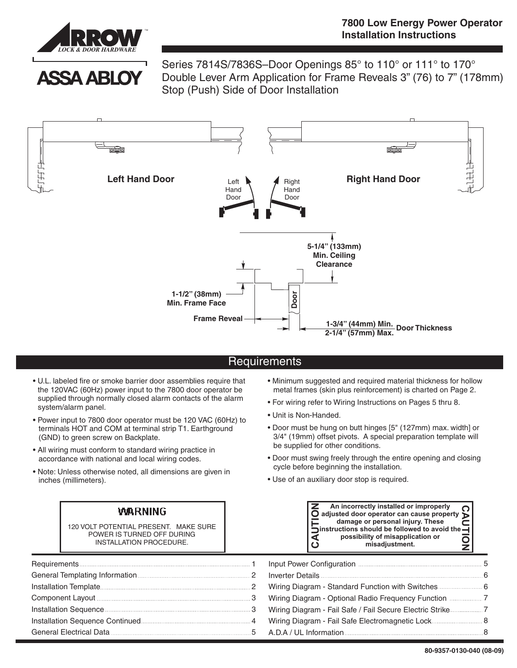

**ASSA ABLOY** 

Series 7814S/7836S–Door Openings 85° to 110° or 111° to 170° Double Lever Arm Application for Frame Reveals 3" (76) to 7" (178mm) Stop (Push) Side of Door Installation



## **Requirements**

- U.L. labeled fire or smoke barrier door assemblies require that the 120VAC (60Hz) power input to the 7800 door operator be supplied through normally closed alarm contacts of the alarm system/alarm panel.
- Power input to 7800 door operator must be 120 VAC (60Hz) to terminals HOT and COM at terminal strip T1. Earthground (GND) to green screw on Backplate.
- All wiring must conform to standard wiring practice in accordance with national and local wiring codes.
- Note: Unless otherwise noted, all dimensions are given in inches (millimeters).

# **WARNING**

120 VOLT POTENTIAL PRESENT. MAKE SURE POWER IS TURNED OFF DURING INSTALLATION PROCEDURE.

- Minimum suggested and required material thickness for hollow metal frames (skin plus reinforcement) is charted on Page 2.
- For wiring refer to Wiring Instructions on Pages 5 thru 8.
- Unit is Non-Handed.
- Door must be hung on butt hinges [5" (127mm) max. width] or 3/4" (19mm) offset pivots. A special preparation template will be supplied for other conditions.
- Door must swing freely through the entire opening and closing cycle before beginning the installation.
- Use of an auxiliary door stop is required.

| An incorrectly installed or improperly<br>$\bigcirc$ adjusted door operator can cause property $\bigcirc$<br>damage or personal injury. These<br>instructions should be followed to avoid the $\overline{\phantom{a}}$<br>possibility of misapplication or<br>misadjustment. |
|------------------------------------------------------------------------------------------------------------------------------------------------------------------------------------------------------------------------------------------------------------------------------|
|------------------------------------------------------------------------------------------------------------------------------------------------------------------------------------------------------------------------------------------------------------------------------|

| Installation Sequence <b>Manual According to the Sequence Manual According to the Sequence Manual According to the S</b> |                                                   |
|--------------------------------------------------------------------------------------------------------------------------|---------------------------------------------------|
|                                                                                                                          | Wiring Diagram - Fail Safe Electromagnetic Lock 8 |
|                                                                                                                          |                                                   |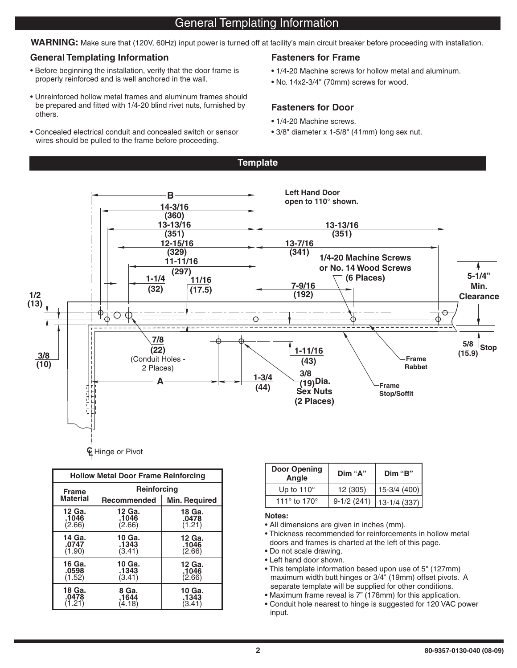# General Templating Information

**WARNING:** Make sure that (120V, 60Hz) input power is turned off at facility's main circuit breaker before proceeding with installation.

**Template**

## **General Templating Information Fasteners for Frame**

- Before beginning the installation, verify that the door frame is properly reinforced and is well anchored in the wall.
- Unreinforced hollow metal frames and aluminum frames should be prepared and fitted with 1/4-20 blind rivet nuts, furnished by others.
- Concealed electrical conduit and concealed switch or sensor wires should be pulled to the frame before proceeding.

- 1/4-20 Machine screws for hollow metal and aluminum.
- No. 14x2-3/4" (70mm) screws for wood.

## **Fasteners for Door**

- 1/4-20 Machine screws.
- 3/8" diameter x 1-5/8" (41mm) long sex nut.



| <b>Hollow Metal Door Frame Reinforcing</b> |                    |                      |  |
|--------------------------------------------|--------------------|----------------------|--|
| <b>Frame</b>                               | <b>Reinforcing</b> |                      |  |
| <b>Material</b>                            | <b>Recommended</b> | <b>Min. Required</b> |  |
| 12 Ga.                                     | 12 Ga.             | 18 Ga.               |  |
| .1046                                      | .1046              | .0478                |  |
| (2.66)                                     | (2.66)             | (1.21)               |  |
| 14 Ga.                                     | 10 Ga.             | 12 Ga.               |  |
| .0747                                      | .1343              | .1046                |  |
| (1.90)                                     | (3.41)             | (2.66)               |  |
| 16 Ga.                                     | 10 Ga.             | 12 Ga.               |  |
| .0598                                      | .1343              | .1046                |  |
| (1.52)                                     | (3.41)             | (2.66)               |  |
| 18 Ga.                                     | 8 Ga.              | 10 Ga.               |  |
| .0478                                      | .1644              | .1343                |  |
| (1.21)                                     | (4.18)             | (3.41)               |  |

| Door Opening<br>Angle          | Dim "A"      | Dim "B"       |
|--------------------------------|--------------|---------------|
| Up to $110^\circ$              | 12 (305)     | $15-3/4(400)$ |
| 111 $\degree$ to 170 $\degree$ | $9-1/2(241)$ | $13-1/4(337)$ |

## **Notes:**

- All dimensions are given in inches (mm).
- Thickness recommended for reinforcements in hollow metal doors and frames is charted at the left of this page.
- Do not scale drawing.
- Left hand door shown.
- This template information based upon use of 5" (127mm) maximum width butt hinges or 3/4" (19mm) offset pivots. A separate template will be supplied for other conditions.
- Maximum frame reveal is 7" (178mm) for this application.
- Conduit hole nearest to hinge is suggested for 120 VAC power input.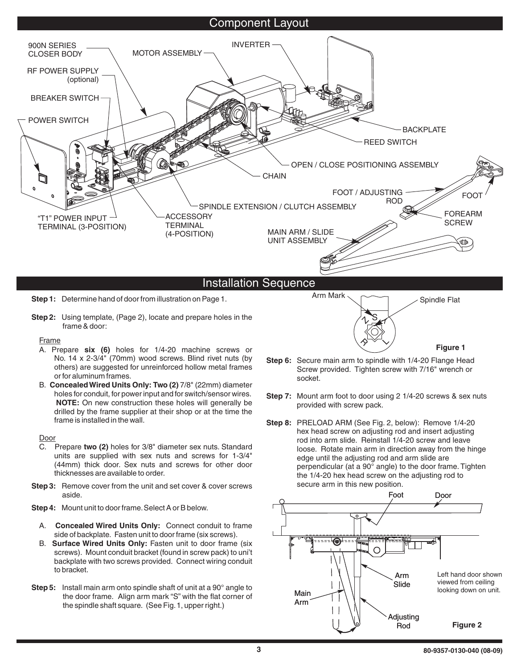## Component Layout



**Step 2:** Using template, (Page 2), locate and prepare holes in the frame & door:

**Frame** 

- A. Prepare six (6) holes for 1/4-20 machine screws or No. 14 x 2-3/4" (70mm) wood screws. Blind rivet nuts (by others) are suggested for unreinforced hollow metal frames or for aluminum frames.
- B. Concealed Wired Units Only: Two (2) 7/8" (22mm) diameter **NOTE:** On new construction these holes will generally be holes for conduit, for power input and for switch/sensor wires. drilled by the frame supplier at their shop or at the time the frame is installed in the wall.

Door

- C. Prepare two (2) holes for 3/8" diameter sex nuts. Standard units are supplied with sex nuts and screws for 1-3/4" (44mm) thick door. Sex nuts and screws for other door thicknesses are available to order.
- **Step 3:** Remove cover from the unit and set cover & cover screws aside.

**Step 4:** Mount unit to door frame.Select A or B below.

- A. Concealed Wired Units Only: Connect conduit to frame side of backplate. Fasten unit to door frame (six screws).
- B. Surface Wired Units Only: Fasten unit to door frame (six screws). Mount conduit bracket (found in screw pack) to uni't backplate with two screws provided. Connect wiring conduit to bracket.
- **Step 5:** Install main arm onto spindle shaft of unit at a 90° angle to the door frame. Align arm mark "S" with the flat corner of the spindle shaft square. (See Fig.1, upper right.)



 $\ddot{\phantom{1}}$ 

**Figure 1**

 $S_{\mathcal{A}}$  $\gamma$ 

 $\bm{\hat{\gamma}}$ 

- **Step 7:** Mount arm foot to door using 2 1/4-20 screws & sex nuts provided with screw pack.
- **Step 8:** PRELOAD ARM (See Fig. 2, below): Remove 1/4-20 hex head screw on adjusting rod and insert adjusting rod into arm slide. Reinstall 1/4-20 screw and leave loose. Rotate main arm in direction away from the hinge edge until the adjusting rod and arm slide are perpendicular (at a 90° angle) to the door frame. Tighten the 1/4-20 hex head screw on the adjusting rod to secure arm in this new position.

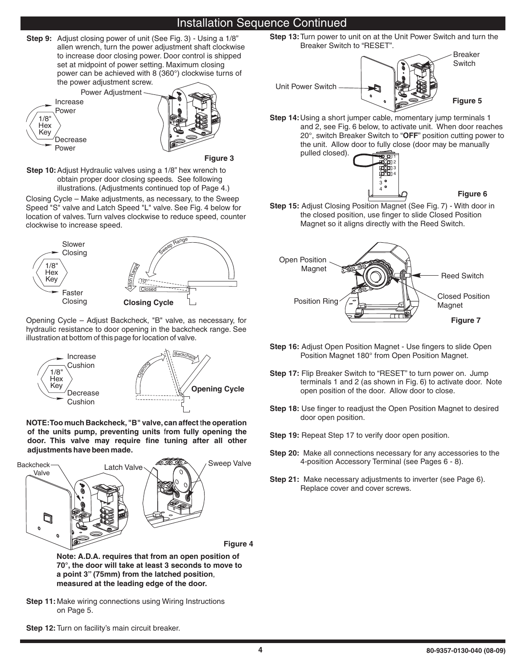# Installation Sequence Continued

**Step 9:** Adjust closing power of unit (See Fig. 3) - Using a 1/8" to increase door closing power. Door control is shipped set at midpoint of power setting. Maximum closing power can be achieved with 8 (360°) clockwise turns of the power adjustment screw. allen wrench, turn the power adjustment shaft clockwise



**Figure 3**

**Step 10:** Adjust Hydraulic valves using a 1/8" hex wrench to obtain proper door closing speeds. See following illustrations. (Adjustments continued top of Page 4.)

Closing Cycle – Make adjustments, as necessary, to the Sweep Speed "S" valve and Latch Speed "L" valve. See Fig. 4 below for location of valves. Turn valves clockwise to reduce speed, counter clockwise to increase speed.



Opening Cycle – Adjust Backcheck, "B" valve, as necessary, for hydraulic resistance to door opening in the backcheck range. See illustration at bottom of this page for location of valve.



**NOTE:Too much Backcheck,"B" valve,can affect he operation** t of the units pump, preventing units from fully opening the **door. This valve may require fine tuning after all other adjustments have been made.**



**70°, the door will take at least 3 seconds to move to a point 3" (75mm) from the latched position** , **measured at the leading edge of the door.**

**Step 11:** Make wiring connections using Wiring Instructions on Page 5.

**Step 13:** Turn power to unit on at the Unit Power Switch and turn the Breaker Switch to "RESET".



**Step 14:** Using a short jumper cable, momentary jump terminals 1 20°, switch Breaker Switch to "**OFF**" position cutting power to and 2, see Fig. 6 below, to activate unit. When door reaches the unit. Allow door to fully close (door may be manually pulled closed).



**Figure 6**

**Step 15:** Adjust Closing Position Magnet (See Fig. 7) - With door in the closed position, use finger to slide Closed Position Magnet so it aligns directly with the Reed Switch.



- **Step 16:** Adjust Open Position Magnet Use fingers to slide Open Position Magnet 180° from Open Position Magnet.
- Step 17: Flip Breaker Switch to "RESET" to turn power on. Jump terminals 1 and 2 (as shown in Fig. 6) to activate door. Note open position of the door. Allow door to close.
- **Step 18:** Use finger to readjust the Open Position Magnet to desired door open position.
- **Step 19:** Repeat Step 17 to verify door open position.
- **Step 20:** Make all connections necessary for any accessories to the 4-position Accessory Terminal (see Pages 6 - 8).
- Step 21: Make necessary adjustments to inverter (see Page 6). Replace cover and cover screws.

**Step 12:**Turn on facility's main circuit breaker.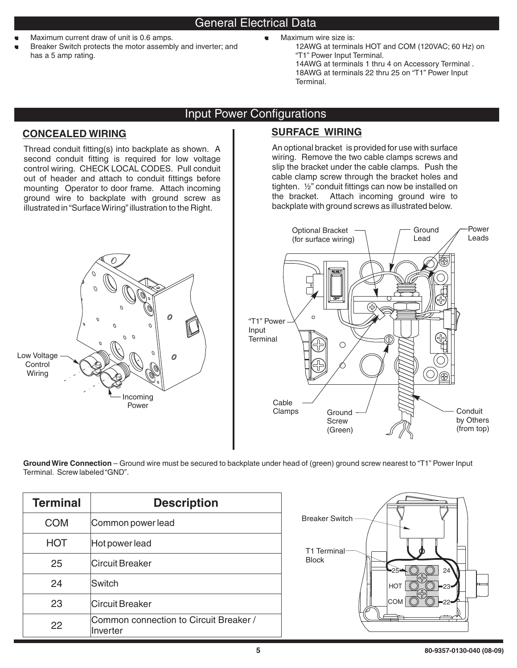- .<br>U
- Maximum current draw of unit is 0.6 amps. Breaker Switch protects the motor assembly and inverter; and has a 5 amp rating.
- Maximum wire size is:
	- 12AWG at terminals HOT and COM (120VAC; 60 Hz) on "T1" Power Input Terminal. 14AWG at terminals 1 thru 4 on Accessory Terminal . 18AWG at terminals 22 thru 25 on "T1" Power Input Terminal.

# Input Power Configurations

## **CONCEALED WIRING**

Thread conduit fitting(s) into backplate as shown. A second conduit fitting is required for low voltage control wiring. CHECK LOCAL CODES. Pull conduit out of header and attach to conduit fittings before mounting Operator to door frame. Attach incoming ground wire to backplate with ground screw as illustrated in"SurfaceWiring"illustration to the Right.



# **SURFACE WIRING**

An optional bracket is provided for use with surface wiring. Remove the two cable clamps screws and slip the bracket under the cable clamps. Push the cable clamp screw through the bracket holes and tighten. ½" conduit fittings can now be installed on the bracket. Attach incoming ground wire to backplate with ground screws as illustrated below.



**Ground Wire Connection** – Ground wire must be secured to backplate under head of (green) ground screw nearest to "T1" Power Input Terminal. Screw labeled"GND".

| <b>Terminal</b> | <b>Description</b>                                 |
|-----------------|----------------------------------------------------|
| <b>COM</b>      | Common power lead                                  |
| <b>HOT</b>      | Hot power lead                                     |
| 25              | <b>Circuit Breaker</b>                             |
| 24              | Switch                                             |
| 23              | Circuit Breaker                                    |
| 22              | Common connection to Circuit Breaker /<br>Inverter |

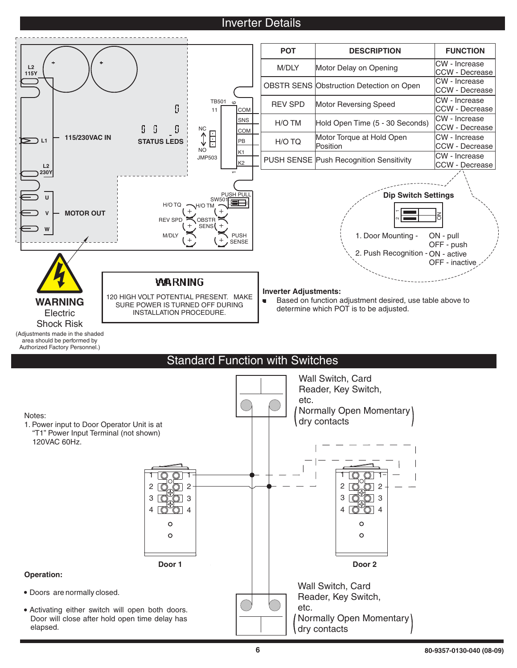# **Inverter Details**



Doors are normally closed.

Activating either switch will open both doors. Door will close after hold open time delay has elapsed.

Reader, Key Switch,

Normally Open Momentary

etc.

dry contacts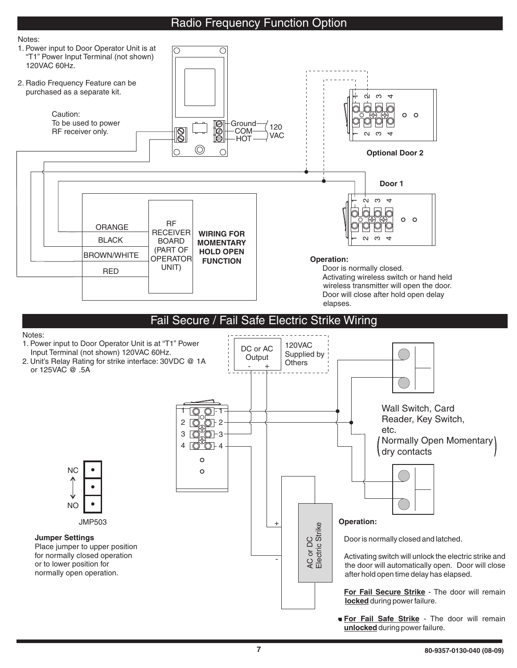# Radio Frequency Function Option





unlocked during power failure.